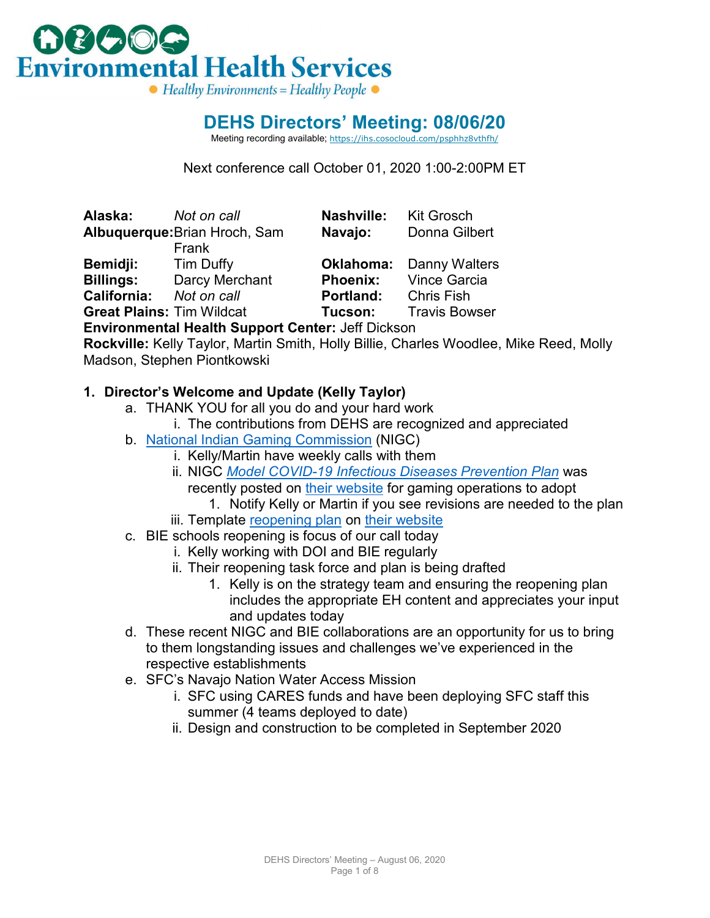

### **DEHS Directors' Meeting: 08/06/20**

Meeting recording available; [https://ihs.cosocloud.com/psphhz8vthfh/](https://ihs.cosocloud.com/psphhz8vthfh/?OWASP_CSRFTOKEN=d0d87d98e820406ac134c989729965ccfab31897127acb8d3d8d9482e858bc5a)

Next conference call October 01, 2020 1:00-2:00PM ET

**Alaska:** *Not on call* **Nashville:** Kit Grosch **Albuquerque:**Brian Hroch, Sam Frank **Bemidji:** Tim Duffy **Oklahoma:** Danny Walters **Billings:** Darcy Merchant **Phoenix:** Vince Garcia **California:** *Not on call* **Portland:** Chris Fish **Great Plains:** Tim Wildcat **Tucson:** Travis Bowser

**Navajo:** Donna Gilbert

**Environmental Health Support Center:** Jeff Dickson

**Rockville:** Kelly Taylor, Martin Smith, Holly Billie, Charles Woodlee, Mike Reed, Molly Madson, Stephen Piontkowski

### **1. Director's Welcome and Update (Kelly Taylor)**

- a. THANK YOU for all you do and your hard work
	- i. The contributions from DEHS are recognized and appreciated
- b. [National Indian Gaming Commission](https://www.nigc.gov/) (NIGC)
	- i. Kelly/Martin have weekly calls with them
	- ii. NIGC *[Model COVID-19 Infectious Diseases Prevention Plan](https://www.nigc.gov/images/uploads/NIGC_Model_COVID19_Infectious_Disease_Preparedness_and_Response_Plan__Final_08042020_TLC_(1).docx)* was recently posted on [their website](https://www.nigc.gov/) for gaming operations to adopt
		- 1. Notify Kelly or Martin if you see revisions are needed to the plan
	- iii. Template [reopening plan](http://www.nigc.gov/images/uploads/04242020%20DTLL%20with%20COVID-19%20Reopening%20attachment.pdf) on [their website](https://www.nigc.gov/)
- c. BIE schools reopening is focus of our call today
	- i. Kelly working with DOI and BIE regularly
	- ii. Their reopening task force and plan is being drafted
		- 1. Kelly is on the strategy team and ensuring the reopening plan includes the appropriate EH content and appreciates your input and updates today
- d. These recent NIGC and BIE collaborations are an opportunity for us to bring to them longstanding issues and challenges we've experienced in the respective establishments
- e. SFC's Navajo Nation Water Access Mission
	- i. SFC using CARES funds and have been deploying SFC staff this summer (4 teams deployed to date)
	- ii. Design and construction to be completed in September 2020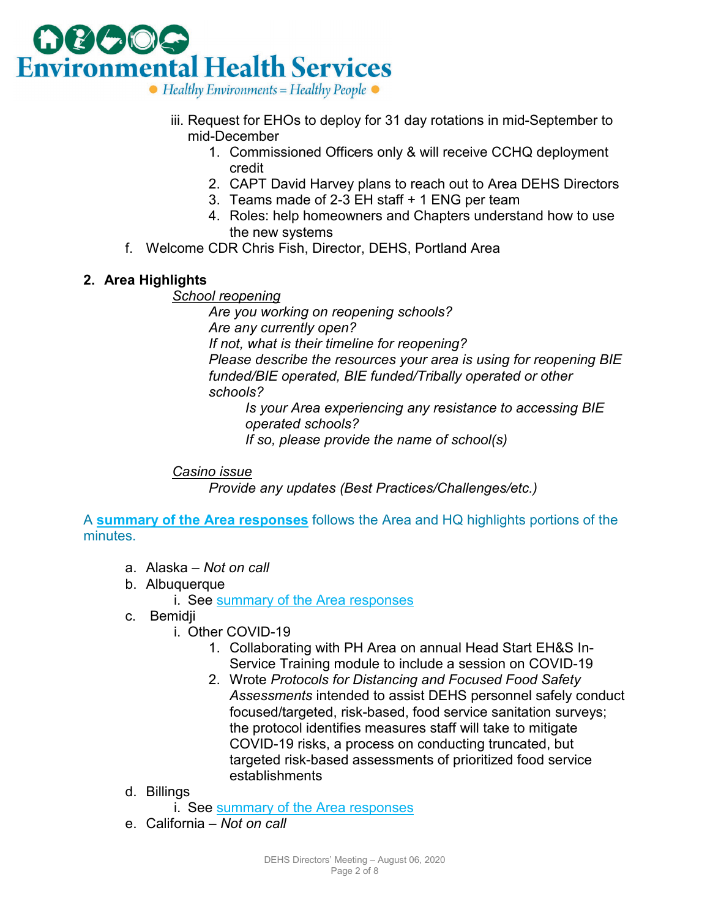

- iii. Request for EHOs to deploy for 31 day rotations in mid-September to mid-December
	- 1. Commissioned Officers only & will receive CCHQ deployment credit
	- 2. CAPT David Harvey plans to reach out to Area DEHS Directors
	- 3. Teams made of 2-3 EH staff + 1 ENG per team
	- 4. Roles: help homeowners and Chapters understand how to use the new systems
- f. Welcome CDR Chris Fish, Director, DEHS, Portland Area

### **2. Area Highlights**

#### *School reopening*

*Are you working on reopening schools? Are any currently open? If not, what is their timeline for reopening? Please describe the resources your area is using for reopening BIE funded/BIE operated, BIE funded/Tribally operated or other schools?*

*Is your Area experiencing any resistance to accessing BIE operated schools? If so, please provide the name of school(s)*

*Casino issue*

*Provide any updates (Best Practices/Challenges/etc.)*

A **[summary of the Area responses](#page-4-0)** follows the Area and HQ highlights portions of the minutes.

- a. Alaska *Not on call*
- b. Albuquerque

i. See [summary of the Area responses](#page-4-0)

- c. Bemidji
	- i. Other COVID-19
		- 1. Collaborating with PH Area on annual Head Start EH&S In-Service Training module to include a session on COVID-19
		- 2. Wrote *Protocols for Distancing and Focused Food Safety Assessments* intended to assist DEHS personnel safely conduct focused/targeted, risk-based, food service sanitation surveys; the protocol identifies measures staff will take to mitigate COVID-19 risks, a process on conducting truncated, but targeted risk-based assessments of prioritized food service establishments
- d. Billings

i. See [summary of the Area responses](#page-4-0)

e. California – *Not on call*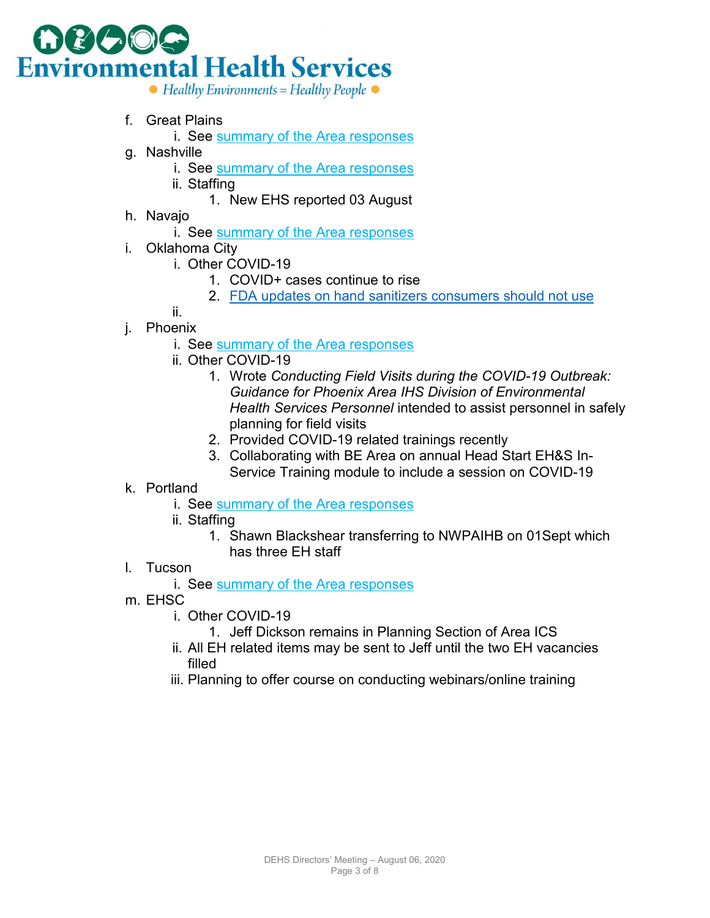

- f. Great Plains
	- i. See [summary of the Area responses](#page-4-0)
- g. Nashville
	- i. See [summary of the Area responses](#page-4-0)
	- ii. Staffing
		- 1. New EHS reported 03 August
- h. Navajo
	- i. See [summary of the Area responses](#page-4-0)
- i. Oklahoma City
	- i. Other COVID-19
		- 1. COVID+ cases continue to rise
		- 2. [FDA updates on hand sanitizers consumers should not use](https://www.fda.gov/drugs/drug-safety-and-availability/fda-updates-hand-sanitizers-consumers-should-not-use#products)
	- ii.
- j. Phoenix
	- i. See [summary of the Area responses](#page-4-0)
	- ii. Other COVID-19
		- 1. Wrote *Conducting Field Visits during the COVID-19 Outbreak: Guidance for Phoenix Area IHS Division of Environmental Health Services Personnel* intended to assist personnel in safely planning for field visits
		- 2. Provided COVID-19 related trainings recently
		- 3. Collaborating with BE Area on annual Head Start EH&S In-Service Training module to include a session on COVID-19
- k. Portland
	- i. See [summary of the Area responses](#page-4-0)
	- ii. Staffing
		- 1. Shawn Blackshear transferring to NWPAIHB on 01Sept which has three EH staff
- l. Tucson
	- i. See [summary of the Area responses](#page-4-0)
- m. EHSC
	- i. Other COVID-19
		- 1. Jeff Dickson remains in Planning Section of Area ICS
	- ii. All EH related items may be sent to Jeff until the two EH vacancies filled
	- iii. Planning to offer course on conducting webinars/online training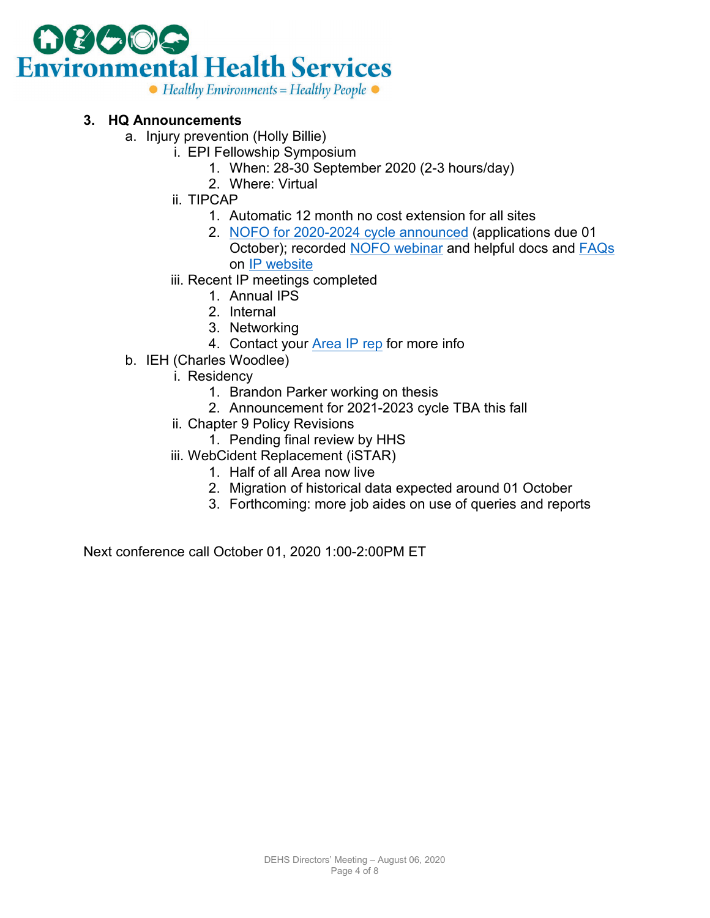

#### **3. HQ Announcements**

- a. Injury prevention (Holly Billie)
	- i. EPI Fellowship Symposium
		- 1. When: 28-30 September 2020 (2-3 hours/day)
		- 2. Where: Virtual
	- ii. TIPCAP
		- 1. Automatic 12 month no cost extension for all sites
		- 2. [NOFO for 2020-2024 cycle announced](https://www.federalregister.gov/documents/2020/06/18/2020-13180/injury-prevention-program-tribal-injury-prevention-cooperative-agreement-program-tipcap) (applications due 01 October); recorded [NOFO webinar](https://ihs.cosocloud.com/pvsvl0wj60kj) and helpful docs and [FAQs](https://www.ihs.gov/sites/injuryprevention/themes/responsive2017/display_objects/documents/TIPCAP_NOFO_FAQs.pdf) on [IP website](https://www.ihs.gov/injuryprevention/)
	- iii. Recent IP meetings completed
		- 1. Annual IPS
		- 2. Internal
		- 3. Networking
		- 4. Contact your [Area IP rep](https://www.ihs.gov/injuryprevention/contacts/) for more info
- b. IEH (Charles Woodlee)
	- i. Residency
		- 1. Brandon Parker working on thesis
		- 2. Announcement for 2021-2023 cycle TBA this fall
	- ii. Chapter 9 Policy Revisions
		- 1. Pending final review by HHS
	- iii. WebCident Replacement (iSTAR)
		- 1. Half of all Area now live
		- 2. Migration of historical data expected around 01 October
		- 3. Forthcoming: more job aides on use of queries and reports

Next conference call October 01, 2020 1:00-2:00PM ET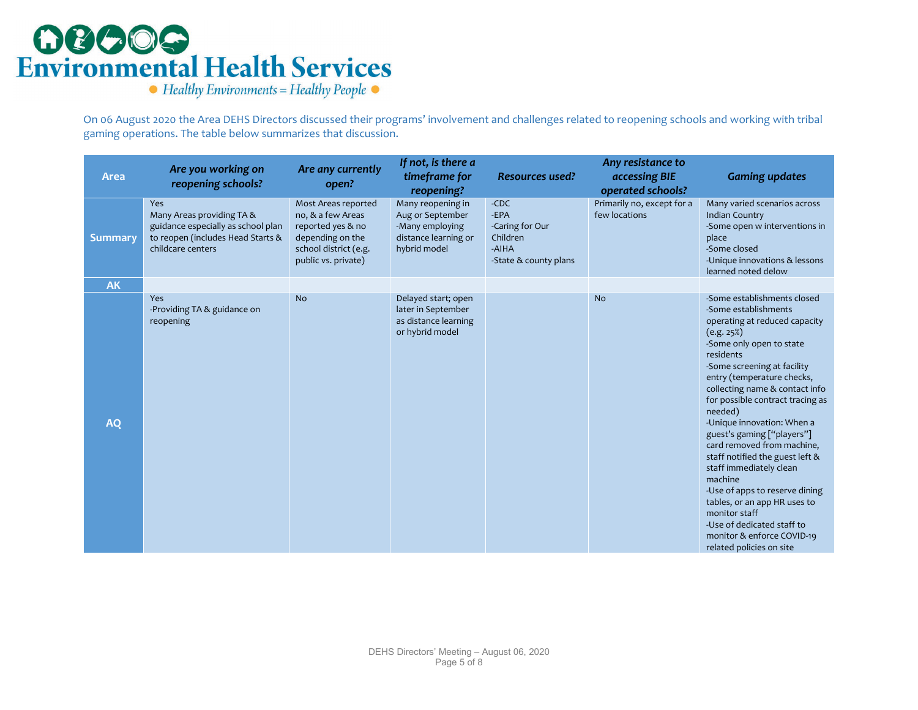# **OBOOG**<br>Environmental Health Services

 $\bullet$  Healthy Environments = Healthy People  $\bullet$ 

On 06 August 2020 the Area DEHS Directors discussed their programs' involvement and challenges related to reopening schools and working with tribal gaming operations. The table below summarizes that discussion.

<span id="page-4-0"></span>

| <b>Area</b>    | Are you working on<br>reopening schools?                                                                                                | Are any currently<br>open?                                                                                                        | If not, is there a<br>timeframe for<br>reopening?                                                | <b>Resources used?</b>                                                          | Any resistance to<br>accessing BIE<br>operated schools? | <b>Gaming updates</b>                                                                                                                                                                                                                                                                                                                                                                                                                                                                                                                                                                                                                   |
|----------------|-----------------------------------------------------------------------------------------------------------------------------------------|-----------------------------------------------------------------------------------------------------------------------------------|--------------------------------------------------------------------------------------------------|---------------------------------------------------------------------------------|---------------------------------------------------------|-----------------------------------------------------------------------------------------------------------------------------------------------------------------------------------------------------------------------------------------------------------------------------------------------------------------------------------------------------------------------------------------------------------------------------------------------------------------------------------------------------------------------------------------------------------------------------------------------------------------------------------------|
| <b>Summary</b> | <b>Yes</b><br>Many Areas providing TA &<br>guidance especially as school plan<br>to reopen (includes Head Starts &<br>childcare centers | Most Areas reported<br>no, & a few Areas<br>reported yes & no<br>depending on the<br>school district (e.g.<br>public vs. private) | Many reopening in<br>Aug or September<br>-Many employing<br>distance learning or<br>hybrid model | $-CDC$<br>-EPA<br>-Caring for Our<br>Children<br>-AIHA<br>-State & county plans | Primarily no, except for a<br>few locations             | Many varied scenarios across<br><b>Indian Country</b><br>-Some open w interventions in<br>place<br>-Some closed<br>-Unique innovations & lessons<br>learned noted delow                                                                                                                                                                                                                                                                                                                                                                                                                                                                 |
| <b>AK</b>      |                                                                                                                                         |                                                                                                                                   |                                                                                                  |                                                                                 |                                                         |                                                                                                                                                                                                                                                                                                                                                                                                                                                                                                                                                                                                                                         |
| <b>AQ</b>      | Yes<br>-Providing TA & guidance on<br>reopening                                                                                         | <b>No</b>                                                                                                                         | Delayed start; open<br>later in September<br>as distance learning<br>or hybrid model             |                                                                                 | <b>No</b>                                               | -Some establishments closed<br>-Some establishments<br>operating at reduced capacity<br>(e.g. 25%)<br>-Some only open to state<br>residents<br>-Some screening at facility<br>entry (temperature checks,<br>collecting name & contact info<br>for possible contract tracing as<br>needed)<br>-Unique innovation: When a<br>guest's gaming ["players"]<br>card removed from machine,<br>staff notified the guest left &<br>staff immediately clean<br>machine<br>-Use of apps to reserve dining<br>tables, or an app HR uses to<br>monitor staff<br>-Use of dedicated staff to<br>monitor & enforce COVID-19<br>related policies on site |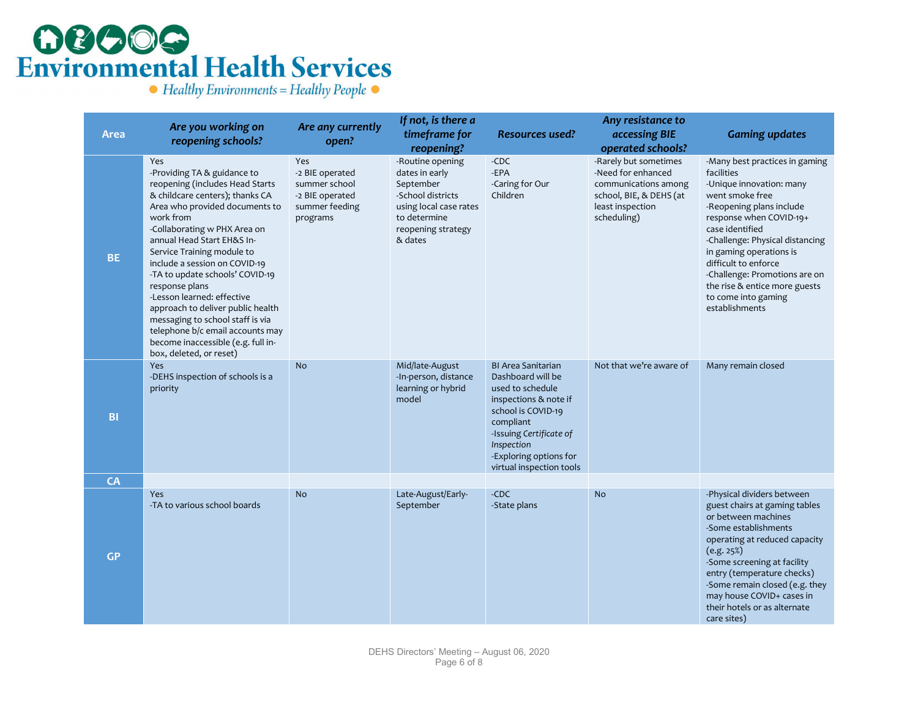# **OCOOG**<br>Environmental Health Services

 $\bullet$  Healthy Environments = Healthy People  $\bullet$ 

|             | Are you working on                                                                                                                                                                                                                                                                                                                                                                                                                                                                                                                                    | Are any currently                                                                        | If not, is there a                                                                                                                                            |                                                                                                                                                                                                                               | Any resistance to                                                                                                                                      |                                                                                                                                                                                                                                                                                                                                                                        |
|-------------|-------------------------------------------------------------------------------------------------------------------------------------------------------------------------------------------------------------------------------------------------------------------------------------------------------------------------------------------------------------------------------------------------------------------------------------------------------------------------------------------------------------------------------------------------------|------------------------------------------------------------------------------------------|---------------------------------------------------------------------------------------------------------------------------------------------------------------|-------------------------------------------------------------------------------------------------------------------------------------------------------------------------------------------------------------------------------|--------------------------------------------------------------------------------------------------------------------------------------------------------|------------------------------------------------------------------------------------------------------------------------------------------------------------------------------------------------------------------------------------------------------------------------------------------------------------------------------------------------------------------------|
| <b>Area</b> | reopening schools?                                                                                                                                                                                                                                                                                                                                                                                                                                                                                                                                    | open?                                                                                    | timeframe for                                                                                                                                                 | <b>Resources used?</b>                                                                                                                                                                                                        | accessing BIE                                                                                                                                          | <b>Gaming updates</b>                                                                                                                                                                                                                                                                                                                                                  |
| <b>BE</b>   | Yes<br>-Providing TA & guidance to<br>reopening (includes Head Starts<br>& childcare centers); thanks CA<br>Area who provided documents to<br>work from<br>-Collaborating w PHX Area on<br>annual Head Start EH&S In-<br>Service Training module to<br>include a session on COVID-19<br>-TA to update schools' COVID-19<br>response plans<br>-Lesson learned: effective<br>approach to deliver public health<br>messaging to school staff is via<br>telephone b/c email accounts may<br>become inaccessible (e.g. full in-<br>box, deleted, or reset) | Yes<br>-2 BIE operated<br>summer school<br>-2 BIE operated<br>summer feeding<br>programs | reopening?<br>-Routine opening<br>dates in early<br>September<br>-School districts<br>using local case rates<br>to determine<br>reopening strategy<br>& dates | -CDC<br>-EPA<br>-Caring for Our<br>Children                                                                                                                                                                                   | operated schools?<br>-Rarely but sometimes<br>-Need for enhanced<br>communications among<br>school, BIE, & DEHS (at<br>least inspection<br>scheduling) | -Many best practices in gaming<br>facilities<br>-Unique innovation: many<br>went smoke free<br>-Reopening plans include<br>response when COVID-19+<br>case identified<br>-Challenge: Physical distancing<br>in gaming operations is<br>difficult to enforce<br>-Challenge: Promotions are on<br>the rise & entice more guests<br>to come into gaming<br>establishments |
| <b>BI</b>   | Yes<br>-DEHS inspection of schools is a<br>priority                                                                                                                                                                                                                                                                                                                                                                                                                                                                                                   | <b>No</b>                                                                                | Mid/late-August<br>-In-person, distance<br>learning or hybrid<br>model                                                                                        | <b>BI Area Sanitarian</b><br>Dashboard will be<br>used to schedule<br>inspections & note if<br>school is COVID-19<br>compliant<br>-Issuing Certificate of<br>Inspection<br>-Exploring options for<br>virtual inspection tools | Not that we're aware of                                                                                                                                | Many remain closed                                                                                                                                                                                                                                                                                                                                                     |
| CA          |                                                                                                                                                                                                                                                                                                                                                                                                                                                                                                                                                       |                                                                                          |                                                                                                                                                               |                                                                                                                                                                                                                               |                                                                                                                                                        |                                                                                                                                                                                                                                                                                                                                                                        |
| <b>GP</b>   | Yes<br>-TA to various school boards                                                                                                                                                                                                                                                                                                                                                                                                                                                                                                                   | <b>No</b>                                                                                | Late-August/Early-<br>September                                                                                                                               | -CDC<br>-State plans                                                                                                                                                                                                          | <b>No</b>                                                                                                                                              | -Physical dividers between<br>guest chairs at gaming tables<br>or between machines<br>-Some establishments<br>operating at reduced capacity<br>(e.g. 25%)<br>-Some screening at facility<br>entry (temperature checks)<br>-Some remain closed (e.g. they<br>may house COVID+ cases in<br>their hotels or as alternate<br>care sites)                                   |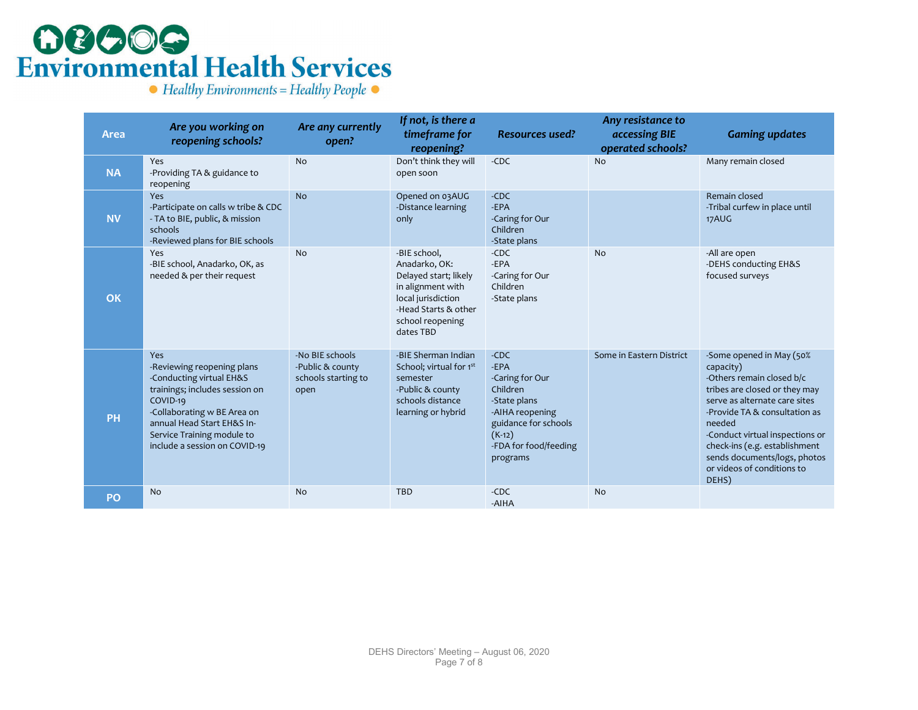# **OBOOG**<br>Environmental Health Services

 $\bullet$  Healthy Environments = Healthy People  $\bullet$ 

| <b>Area</b> | Are you working on<br>reopening schools?                                                                                                                                                                                                       | Are any currently<br>open?                                         | If not, is there a<br>timeframe for<br>reopening?                                                                                                          | <b>Resources used?</b>                                                                                                                                    | Any resistance to<br>accessing BIE<br>operated schools? | <b>Gaming updates</b>                                                                                                                                                                                                                                                                                                      |
|-------------|------------------------------------------------------------------------------------------------------------------------------------------------------------------------------------------------------------------------------------------------|--------------------------------------------------------------------|------------------------------------------------------------------------------------------------------------------------------------------------------------|-----------------------------------------------------------------------------------------------------------------------------------------------------------|---------------------------------------------------------|----------------------------------------------------------------------------------------------------------------------------------------------------------------------------------------------------------------------------------------------------------------------------------------------------------------------------|
| <b>NA</b>   | Yes<br>-Providing TA & guidance to<br>reopening                                                                                                                                                                                                | No                                                                 | Don't think they will<br>open soon                                                                                                                         | $-CDC$                                                                                                                                                    | <b>No</b>                                               | Many remain closed                                                                                                                                                                                                                                                                                                         |
| <b>NV</b>   | Yes<br>-Participate on calls w tribe & CDC<br>- TA to BIE, public, & mission<br>schools<br>-Reviewed plans for BIE schools                                                                                                                     | <b>No</b>                                                          | Opened on 03AUG<br>-Distance learning<br>only                                                                                                              | $-CDC$<br>-EPA<br>-Caring for Our<br>Children<br>-State plans                                                                                             |                                                         | Remain closed<br>-Tribal curfew in place until<br>17AUG                                                                                                                                                                                                                                                                    |
| OK          | Yes<br>-BIE school, Anadarko, OK, as<br>needed & per their request                                                                                                                                                                             | <b>No</b>                                                          | -BIE school,<br>Anadarko, OK:<br>Delayed start; likely<br>in alignment with<br>local jurisdiction<br>-Head Starts & other<br>school reopening<br>dates TBD | $-CDC$<br>-EPA<br>-Caring for Our<br>Children<br>-State plans                                                                                             | <b>No</b>                                               | -All are open<br>-DEHS conducting EH&S<br>focused surveys                                                                                                                                                                                                                                                                  |
| <b>PH</b>   | <b>Yes</b><br>-Reviewing reopening plans<br>-Conducting virtual EH&S<br>trainings; includes session on<br>COVID-19<br>-Collaborating w BE Area on<br>annual Head Start EH&S In-<br>Service Training module to<br>include a session on COVID-19 | -No BIE schools<br>-Public & county<br>schools starting to<br>open | -BIE Sherman Indian<br>School; virtual for 1st<br>semester<br>-Public & county<br>schools distance<br>learning or hybrid                                   | $-CDC$<br>-EPA<br>-Caring for Our<br>Children<br>-State plans<br>-AIHA reopening<br>guidance for schools<br>$(K-12)$<br>-FDA for food/feeding<br>programs | Some in Eastern District                                | -Some opened in May (50%<br>capacity)<br>-Others remain closed b/c<br>tribes are closed or they may<br>serve as alternate care sites<br>-Provide TA & consultation as<br>needed<br>-Conduct virtual inspections or<br>check-ins (e.g. establishment<br>sends documents/logs, photos<br>or videos of conditions to<br>DEHS) |
| PO          | <b>No</b>                                                                                                                                                                                                                                      | <b>No</b>                                                          | <b>TBD</b>                                                                                                                                                 | $-CDC$<br>-AIHA                                                                                                                                           | <b>No</b>                                               |                                                                                                                                                                                                                                                                                                                            |